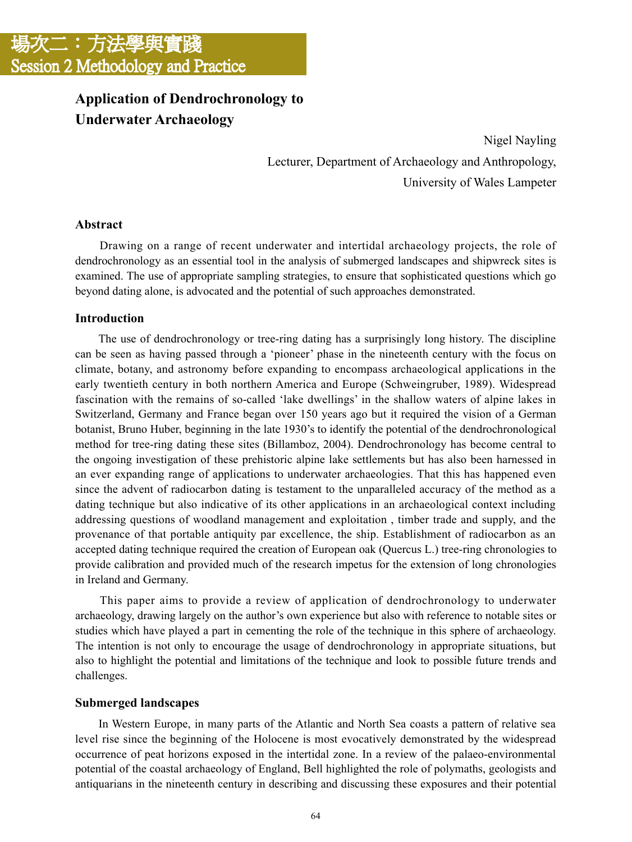# **Application of Dendrochronology to Underwater Archaeology**

Nigel Nayling Lecturer, Department of Archaeology and Anthropology, University of Wales Lampeter

# **Abstract**

 Drawing on a range of recent underwater and intertidal archaeology projects, the role of dendrochronology as an essential tool in the analysis of submerged landscapes and shipwreck sites is examined. The use of appropriate sampling strategies, to ensure that sophisticated questions which go beyond dating alone, is advocated and the potential of such approaches demonstrated.

# **Introduction**

 The use of dendrochronology or tree-ring dating has a surprisingly long history. The discipline can be seen as having passed through a 'pioneer' phase in the nineteenth century with the focus on climate, botany, and astronomy before expanding to encompass archaeological applications in the early twentieth century in both northern America and Europe (Schweingruber, 1989). Widespread fascination with the remains of so-called 'lake dwellings' in the shallow waters of alpine lakes in Switzerland, Germany and France began over 150 years ago but it required the vision of a German botanist, Bruno Huber, beginning in the late 1930's to identify the potential of the dendrochronological method for tree-ring dating these sites (Billamboz, 2004). Dendrochronology has become central to the ongoing investigation of these prehistoric alpine lake settlements but has also been harnessed in an ever expanding range of applications to underwater archaeologies. That this has happened even since the advent of radiocarbon dating is testament to the unparalleled accuracy of the method as a dating technique but also indicative of its other applications in an archaeological context including addressing questions of woodland management and exploitation , timber trade and supply, and the provenance of that portable antiquity par excellence, the ship. Establishment of radiocarbon as an accepted dating technique required the creation of European oak (Quercus L.) tree-ring chronologies to provide calibration and provided much of the research impetus for the extension of long chronologies in Ireland and Germany.

 This paper aims to provide a review of application of dendrochronology to underwater archaeology, drawing largely on the author's own experience but also with reference to notable sites or studies which have played a part in cementing the role of the technique in this sphere of archaeology. The intention is not only to encourage the usage of dendrochronology in appropriate situations, but also to highlight the potential and limitations of the technique and look to possible future trends and challenges.

# **Submerged landscapes**

 In Western Europe, in many parts of the Atlantic and North Sea coasts a pattern of relative sea level rise since the beginning of the Holocene is most evocatively demonstrated by the widespread occurrence of peat horizons exposed in the intertidal zone. In a review of the palaeo-environmental potential of the coastal archaeology of England, Bell highlighted the role of polymaths, geologists and antiquarians in the nineteenth century in describing and discussing these exposures and their potential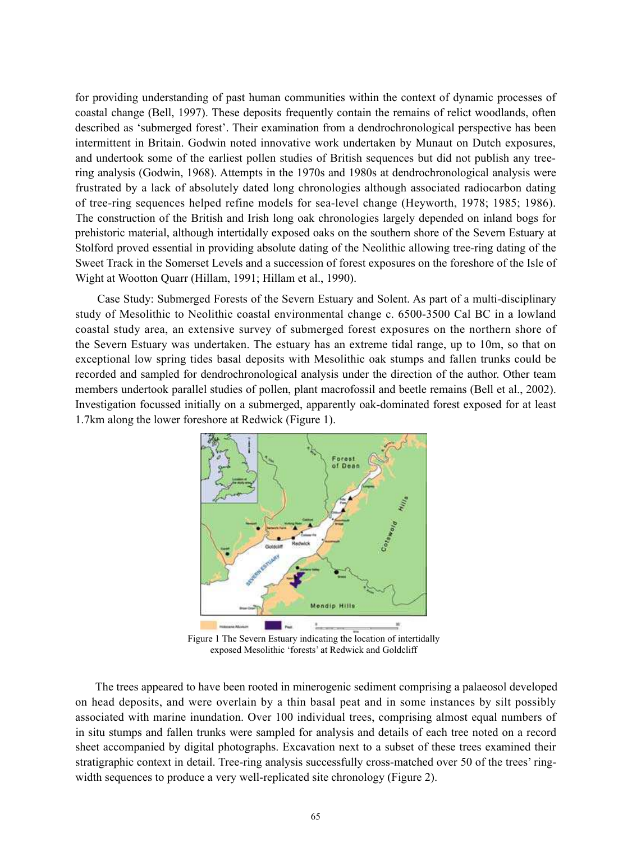for providing understanding of past human communities within the context of dynamic processes of coastal change (Bell, 1997). These deposits frequently contain the remains of relict woodlands, often described as 'submerged forest'. Their examination from a dendrochronological perspective has been intermittent in Britain. Godwin noted innovative work undertaken by Munaut on Dutch exposures, and undertook some of the earliest pollen studies of British sequences but did not publish any treering analysis (Godwin, 1968). Attempts in the 1970s and 1980s at dendrochronological analysis were frustrated by a lack of absolutely dated long chronologies although associated radiocarbon dating of tree-ring sequences helped refine models for sea-level change (Heyworth, 1978; 1985; 1986). The construction of the British and Irish long oak chronologies largely depended on inland bogs for prehistoric material, although intertidally exposed oaks on the southern shore of the Severn Estuary at Stolford proved essential in providing absolute dating of the Neolithic allowing tree-ring dating of the Sweet Track in the Somerset Levels and a succession of forest exposures on the foreshore of the Isle of Wight at Wootton Quarr (Hillam, 1991; Hillam et al., 1990).

 Case Study: Submerged Forests of the Severn Estuary and Solent. As part of a multi-disciplinary study of Mesolithic to Neolithic coastal environmental change c. 6500-3500 Cal BC in a lowland coastal study area, an extensive survey of submerged forest exposures on the northern shore of the Severn Estuary was undertaken. The estuary has an extreme tidal range, up to 10m, so that on exceptional low spring tides basal deposits with Mesolithic oak stumps and fallen trunks could be recorded and sampled for dendrochronological analysis under the direction of the author. Other team members undertook parallel studies of pollen, plant macrofossil and beetle remains (Bell et al., 2002). Investigation focussed initially on a submerged, apparently oak-dominated forest exposed for at least 1.7km along the lower foreshore at Redwick (Figure 1).



Figure 1 The Severn Estuary indicating the location of intertidally exposed Mesolithic 'forests' at Redwick and Goldcliff

 The trees appeared to have been rooted in minerogenic sediment comprising a palaeosol developed on head deposits, and were overlain by a thin basal peat and in some instances by silt possibly associated with marine inundation. Over 100 individual trees, comprising almost equal numbers of in situ stumps and fallen trunks were sampled for analysis and details of each tree noted on a record sheet accompanied by digital photographs. Excavation next to a subset of these trees examined their stratigraphic context in detail. Tree-ring analysis successfully cross-matched over 50 of the trees' ringwidth sequences to produce a very well-replicated site chronology (Figure 2).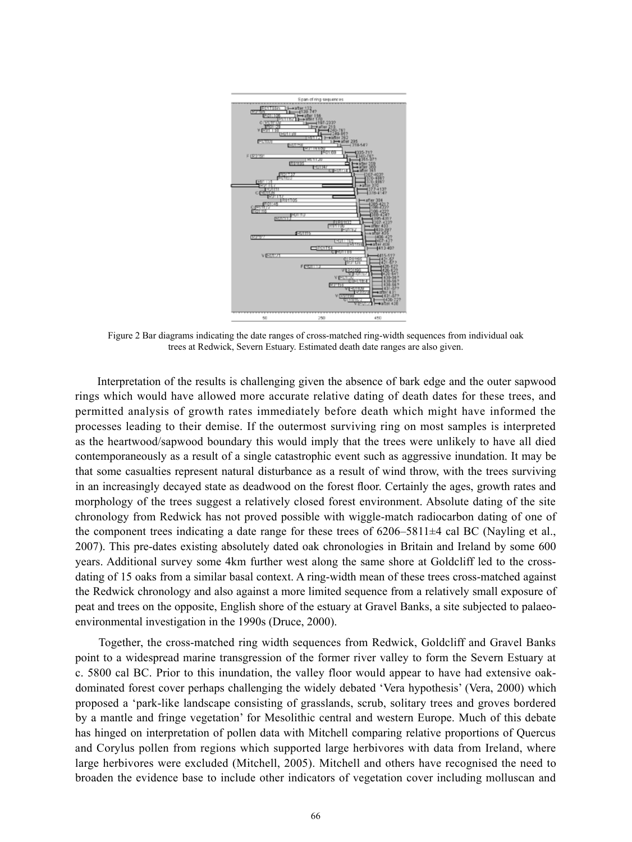

Figure 2 Bar diagrams indicating the date ranges of cross-matched ring-width sequences from individual oak trees at Redwick, Severn Estuary. Estimated death date ranges are also given.

 Interpretation of the results is challenging given the absence of bark edge and the outer sapwood rings which would have allowed more accurate relative dating of death dates for these trees, and permitted analysis of growth rates immediately before death which might have informed the processes leading to their demise. If the outermost surviving ring on most samples is interpreted as the heartwood/sapwood boundary this would imply that the trees were unlikely to have all died contemporaneously as a result of a single catastrophic event such as aggressive inundation. It may be that some casualties represent natural disturbance as a result of wind throw, with the trees surviving in an increasingly decayed state as deadwood on the forest floor. Certainly the ages, growth rates and morphology of the trees suggest a relatively closed forest environment. Absolute dating of the site chronology from Redwick has not proved possible with wiggle-match radiocarbon dating of one of the component trees indicating a date range for these trees of 6206–5811±4 cal BC (Nayling et al., 2007). This pre-dates existing absolutely dated oak chronologies in Britain and Ireland by some 600 years. Additional survey some 4km further west along the same shore at Goldcliff led to the crossdating of 15 oaks from a similar basal context. A ring-width mean of these trees cross-matched against the Redwick chronology and also against a more limited sequence from a relatively small exposure of peat and trees on the opposite, English shore of the estuary at Gravel Banks, a site subjected to palaeoenvironmental investigation in the 1990s (Druce, 2000).

 Together, the cross-matched ring width sequences from Redwick, Goldcliff and Gravel Banks point to a widespread marine transgression of the former river valley to form the Severn Estuary at c. 5800 cal BC. Prior to this inundation, the valley floor would appear to have had extensive oakdominated forest cover perhaps challenging the widely debated 'Vera hypothesis' (Vera, 2000) which proposed a 'park-like landscape consisting of grasslands, scrub, solitary trees and groves bordered by a mantle and fringe vegetation' for Mesolithic central and western Europe. Much of this debate has hinged on interpretation of pollen data with Mitchell comparing relative proportions of Quercus and Corylus pollen from regions which supported large herbivores with data from Ireland, where large herbivores were excluded (Mitchell, 2005). Mitchell and others have recognised the need to broaden the evidence base to include other indicators of vegetation cover including molluscan and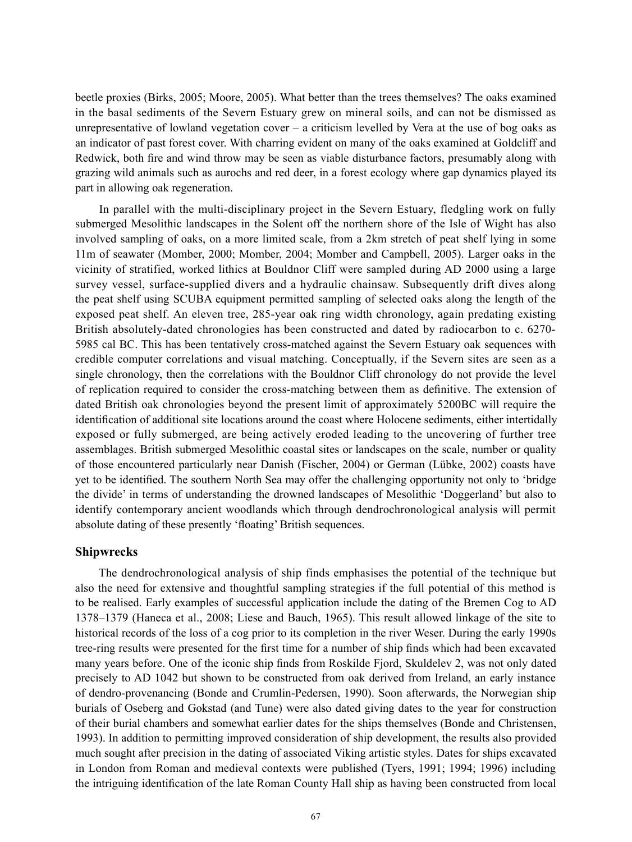beetle proxies (Birks, 2005; Moore, 2005). What better than the trees themselves? The oaks examined in the basal sediments of the Severn Estuary grew on mineral soils, and can not be dismissed as unrepresentative of lowland vegetation cover – a criticism levelled by Vera at the use of bog oaks as an indicator of past forest cover. With charring evident on many of the oaks examined at Goldcliff and Redwick, both fire and wind throw may be seen as viable disturbance factors, presumably along with grazing wild animals such as aurochs and red deer, in a forest ecology where gap dynamics played its part in allowing oak regeneration.

 In parallel with the multi-disciplinary project in the Severn Estuary, fledgling work on fully submerged Mesolithic landscapes in the Solent off the northern shore of the Isle of Wight has also involved sampling of oaks, on a more limited scale, from a 2km stretch of peat shelf lying in some 11m of seawater (Momber, 2000; Momber, 2004; Momber and Campbell, 2005). Larger oaks in the vicinity of stratified, worked lithics at Bouldnor Cliff were sampled during AD 2000 using a large survey vessel, surface-supplied divers and a hydraulic chainsaw. Subsequently drift dives along the peat shelf using SCUBA equipment permitted sampling of selected oaks along the length of the exposed peat shelf. An eleven tree, 285-year oak ring width chronology, again predating existing British absolutely-dated chronologies has been constructed and dated by radiocarbon to c. 6270- 5985 cal BC. This has been tentatively cross-matched against the Severn Estuary oak sequences with credible computer correlations and visual matching. Conceptually, if the Severn sites are seen as a single chronology, then the correlations with the Bouldnor Cliff chronology do not provide the level of replication required to consider the cross-matching between them as definitive. The extension of dated British oak chronologies beyond the present limit of approximately 5200BC will require the identification of additional site locations around the coast where Holocene sediments, either intertidally exposed or fully submerged, are being actively eroded leading to the uncovering of further tree assemblages. British submerged Mesolithic coastal sites or landscapes on the scale, number or quality of those encountered particularly near Danish (Fischer, 2004) or German (Lübke, 2002) coasts have yet to be identified. The southern North Sea may offer the challenging opportunity not only to 'bridge the divide' in terms of understanding the drowned landscapes of Mesolithic 'Doggerland' but also to identify contemporary ancient woodlands which through dendrochronological analysis will permit absolute dating of these presently 'floating' British sequences.

## **Shipwrecks**

 The dendrochronological analysis of ship finds emphasises the potential of the technique but also the need for extensive and thoughtful sampling strategies if the full potential of this method is to be realised. Early examples of successful application include the dating of the Bremen Cog to AD 1378–1379 (Haneca et al., 2008; Liese and Bauch, 1965). This result allowed linkage of the site to historical records of the loss of a cog prior to its completion in the river Weser. During the early 1990s tree-ring results were presented for the first time for a number of ship finds which had been excavated many years before. One of the iconic ship finds from Roskilde Fjord, Skuldelev 2, was not only dated precisely to AD 1042 but shown to be constructed from oak derived from Ireland, an early instance of dendro-provenancing (Bonde and Crumlin-Pedersen, 1990). Soon afterwards, the Norwegian ship burials of Oseberg and Gokstad (and Tune) were also dated giving dates to the year for construction of their burial chambers and somewhat earlier dates for the ships themselves (Bonde and Christensen, 1993). In addition to permitting improved consideration of ship development, the results also provided much sought after precision in the dating of associated Viking artistic styles. Dates for ships excavated in London from Roman and medieval contexts were published (Tyers, 1991; 1994; 1996) including the intriguing identification of the late Roman County Hall ship as having been constructed from local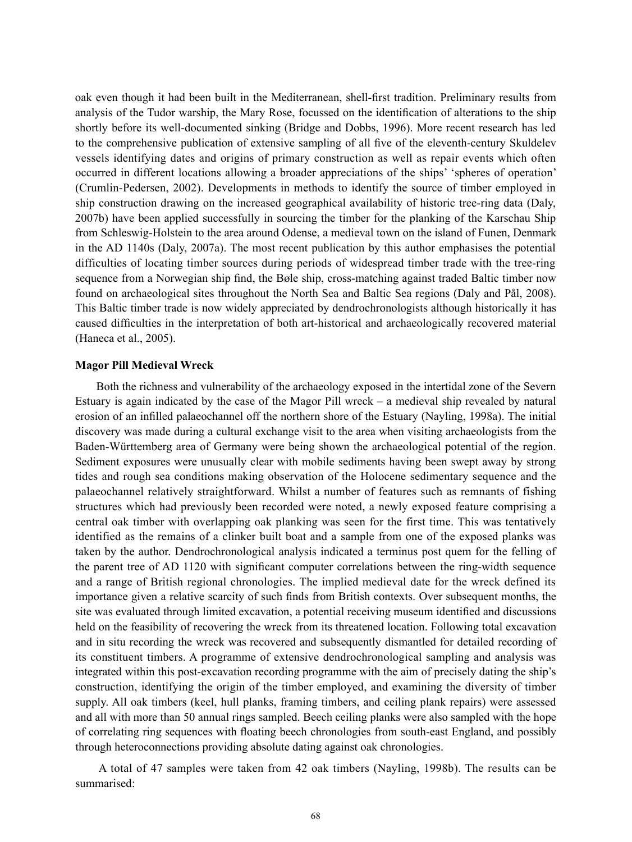oak even though it had been built in the Mediterranean, shell-first tradition. Preliminary results from analysis of the Tudor warship, the Mary Rose, focussed on the identification of alterations to the ship shortly before its well-documented sinking (Bridge and Dobbs, 1996). More recent research has led to the comprehensive publication of extensive sampling of all five of the eleventh-century Skuldelev vessels identifying dates and origins of primary construction as well as repair events which often occurred in different locations allowing a broader appreciations of the ships' 'spheres of operation' (Crumlin-Pedersen, 2002). Developments in methods to identify the source of timber employed in ship construction drawing on the increased geographical availability of historic tree-ring data (Daly, 2007b) have been applied successfully in sourcing the timber for the planking of the Karschau Ship from Schleswig-Holstein to the area around Odense, a medieval town on the island of Funen, Denmark in the AD 1140s (Daly, 2007a). The most recent publication by this author emphasises the potential difficulties of locating timber sources during periods of widespread timber trade with the tree-ring sequence from a Norwegian ship find, the Bøle ship, cross-matching against traded Baltic timber now found on archaeological sites throughout the North Sea and Baltic Sea regions (Daly and Pål, 2008). This Baltic timber trade is now widely appreciated by dendrochronologists although historically it has caused difficulties in the interpretation of both art-historical and archaeologically recovered material (Haneca et al., 2005).

#### **Magor Pill Medieval Wreck**

 Both the richness and vulnerability of the archaeology exposed in the intertidal zone of the Severn Estuary is again indicated by the case of the Magor Pill wreck – a medieval ship revealed by natural erosion of an infilled palaeochannel off the northern shore of the Estuary (Nayling, 1998a). The initial discovery was made during a cultural exchange visit to the area when visiting archaeologists from the Baden-Württemberg area of Germany were being shown the archaeological potential of the region. Sediment exposures were unusually clear with mobile sediments having been swept away by strong tides and rough sea conditions making observation of the Holocene sedimentary sequence and the palaeochannel relatively straightforward. Whilst a number of features such as remnants of fishing structures which had previously been recorded were noted, a newly exposed feature comprising a central oak timber with overlapping oak planking was seen for the first time. This was tentatively identified as the remains of a clinker built boat and a sample from one of the exposed planks was taken by the author. Dendrochronological analysis indicated a terminus post quem for the felling of the parent tree of AD 1120 with significant computer correlations between the ring-width sequence and a range of British regional chronologies. The implied medieval date for the wreck defined its importance given a relative scarcity of such finds from British contexts. Over subsequent months, the site was evaluated through limited excavation, a potential receiving museum identified and discussions held on the feasibility of recovering the wreck from its threatened location. Following total excavation and in situ recording the wreck was recovered and subsequently dismantled for detailed recording of its constituent timbers. A programme of extensive dendrochronological sampling and analysis was integrated within this post-excavation recording programme with the aim of precisely dating the ship's construction, identifying the origin of the timber employed, and examining the diversity of timber supply. All oak timbers (keel, hull planks, framing timbers, and ceiling plank repairs) were assessed and all with more than 50 annual rings sampled. Beech ceiling planks were also sampled with the hope of correlating ring sequences with floating beech chronologies from south-east England, and possibly through heteroconnections providing absolute dating against oak chronologies.

 A total of 47 samples were taken from 42 oak timbers (Nayling, 1998b). The results can be summarised: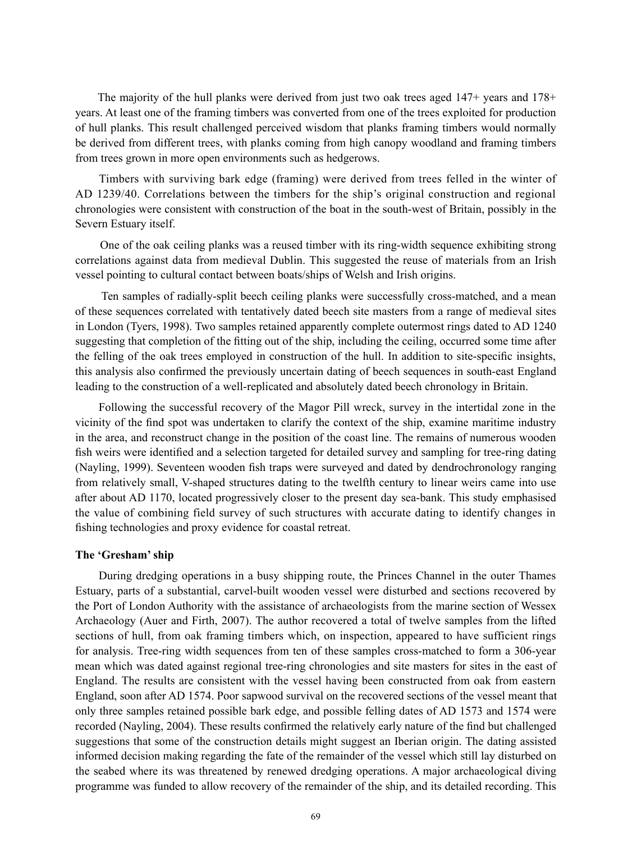The majority of the hull planks were derived from just two oak trees aged 147+ years and 178+ years. At least one of the framing timbers was converted from one of the trees exploited for production of hull planks. This result challenged perceived wisdom that planks framing timbers would normally be derived from different trees, with planks coming from high canopy woodland and framing timbers from trees grown in more open environments such as hedgerows.

 Timbers with surviving bark edge (framing) were derived from trees felled in the winter of AD 1239/40. Correlations between the timbers for the ship's original construction and regional chronologies were consistent with construction of the boat in the south-west of Britain, possibly in the Severn Estuary itself.

 One of the oak ceiling planks was a reused timber with its ring-width sequence exhibiting strong correlations against data from medieval Dublin. This suggested the reuse of materials from an Irish vessel pointing to cultural contact between boats/ships of Welsh and Irish origins.

 Ten samples of radially-split beech ceiling planks were successfully cross-matched, and a mean of these sequences correlated with tentatively dated beech site masters from a range of medieval sites in London (Tyers, 1998). Two samples retained apparently complete outermost rings dated to AD 1240 suggesting that completion of the fitting out of the ship, including the ceiling, occurred some time after the felling of the oak trees employed in construction of the hull. In addition to site-specific insights, this analysis also confirmed the previously uncertain dating of beech sequences in south-east England leading to the construction of a well-replicated and absolutely dated beech chronology in Britain.

 Following the successful recovery of the Magor Pill wreck, survey in the intertidal zone in the vicinity of the find spot was undertaken to clarify the context of the ship, examine maritime industry in the area, and reconstruct change in the position of the coast line. The remains of numerous wooden fish weirs were identified and a selection targeted for detailed survey and sampling for tree-ring dating (Nayling, 1999). Seventeen wooden fish traps were surveyed and dated by dendrochronology ranging from relatively small, V-shaped structures dating to the twelfth century to linear weirs came into use after about AD 1170, located progressively closer to the present day sea-bank. This study emphasised the value of combining field survey of such structures with accurate dating to identify changes in fishing technologies and proxy evidence for coastal retreat.

#### **The 'Gresham' ship**

 During dredging operations in a busy shipping route, the Princes Channel in the outer Thames Estuary, parts of a substantial, carvel-built wooden vessel were disturbed and sections recovered by the Port of London Authority with the assistance of archaeologists from the marine section of Wessex Archaeology (Auer and Firth, 2007). The author recovered a total of twelve samples from the lifted sections of hull, from oak framing timbers which, on inspection, appeared to have sufficient rings for analysis. Tree-ring width sequences from ten of these samples cross-matched to form a 306-year mean which was dated against regional tree-ring chronologies and site masters for sites in the east of England. The results are consistent with the vessel having been constructed from oak from eastern England, soon after AD 1574. Poor sapwood survival on the recovered sections of the vessel meant that only three samples retained possible bark edge, and possible felling dates of AD 1573 and 1574 were recorded (Nayling, 2004). These results confirmed the relatively early nature of the find but challenged suggestions that some of the construction details might suggest an Iberian origin. The dating assisted informed decision making regarding the fate of the remainder of the vessel which still lay disturbed on the seabed where its was threatened by renewed dredging operations. A major archaeological diving programme was funded to allow recovery of the remainder of the ship, and its detailed recording. This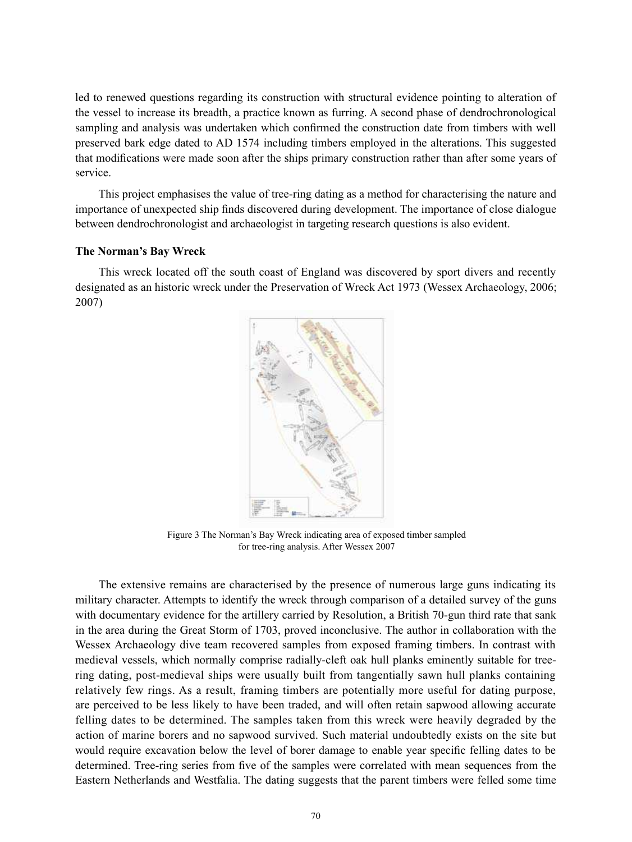led to renewed questions regarding its construction with structural evidence pointing to alteration of the vessel to increase its breadth, a practice known as furring. A second phase of dendrochronological sampling and analysis was undertaken which confirmed the construction date from timbers with well preserved bark edge dated to AD 1574 including timbers employed in the alterations. This suggested that modifications were made soon after the ships primary construction rather than after some years of service.

 This project emphasises the value of tree-ring dating as a method for characterising the nature and importance of unexpected ship finds discovered during development. The importance of close dialogue between dendrochronologist and archaeologist in targeting research questions is also evident.

## **The Norman's Bay Wreck**

 This wreck located off the south coast of England was discovered by sport divers and recently designated as an historic wreck under the Preservation of Wreck Act 1973 (Wessex Archaeology, 2006; 2007)



Figure 3 The Norman's Bay Wreck indicating area of exposed timber sampled for tree-ring analysis. After Wessex 2007

 The extensive remains are characterised by the presence of numerous large guns indicating its military character. Attempts to identify the wreck through comparison of a detailed survey of the guns with documentary evidence for the artillery carried by Resolution, a British 70-gun third rate that sank in the area during the Great Storm of 1703, proved inconclusive. The author in collaboration with the Wessex Archaeology dive team recovered samples from exposed framing timbers. In contrast with medieval vessels, which normally comprise radially-cleft oak hull planks eminently suitable for treering dating, post-medieval ships were usually built from tangentially sawn hull planks containing relatively few rings. As a result, framing timbers are potentially more useful for dating purpose, are perceived to be less likely to have been traded, and will often retain sapwood allowing accurate felling dates to be determined. The samples taken from this wreck were heavily degraded by the action of marine borers and no sapwood survived. Such material undoubtedly exists on the site but would require excavation below the level of borer damage to enable year specific felling dates to be determined. Tree-ring series from five of the samples were correlated with mean sequences from the Eastern Netherlands and Westfalia. The dating suggests that the parent timbers were felled some time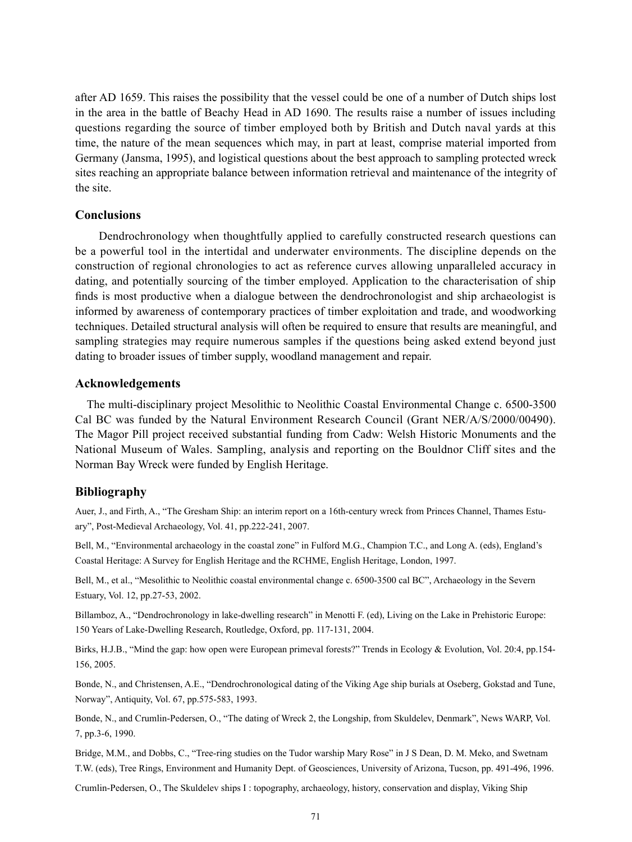after AD 1659. This raises the possibility that the vessel could be one of a number of Dutch ships lost in the area in the battle of Beachy Head in AD 1690. The results raise a number of issues including questions regarding the source of timber employed both by British and Dutch naval yards at this time, the nature of the mean sequences which may, in part at least, comprise material imported from Germany (Jansma, 1995), and logistical questions about the best approach to sampling protected wreck sites reaching an appropriate balance between information retrieval and maintenance of the integrity of the site.

# **Conclusions**

 Dendrochronology when thoughtfully applied to carefully constructed research questions can be a powerful tool in the intertidal and underwater environments. The discipline depends on the construction of regional chronologies to act as reference curves allowing unparalleled accuracy in dating, and potentially sourcing of the timber employed. Application to the characterisation of ship finds is most productive when a dialogue between the dendrochronologist and ship archaeologist is informed by awareness of contemporary practices of timber exploitation and trade, and woodworking techniques. Detailed structural analysis will often be required to ensure that results are meaningful, and sampling strategies may require numerous samples if the questions being asked extend beyond just dating to broader issues of timber supply, woodland management and repair.

## **Acknowledgements**

The multi-disciplinary project Mesolithic to Neolithic Coastal Environmental Change c. 6500-3500 Cal BC was funded by the Natural Environment Research Council (Grant NER/A/S/2000/00490). The Magor Pill project received substantial funding from Cadw: Welsh Historic Monuments and the National Museum of Wales. Sampling, analysis and reporting on the Bouldnor Cliff sites and the Norman Bay Wreck were funded by English Heritage.

## **Bibliography**

Auer, J., and Firth, A., "The Gresham Ship: an interim report on a 16th-century wreck from Princes Channel, Thames Estuary", Post-Medieval Archaeology, Vol. 41, pp.222-241, 2007.

Bell, M., "Environmental archaeology in the coastal zone" in Fulford M.G., Champion T.C., and Long A. (eds), England's Coastal Heritage: A Survey for English Heritage and the RCHME, English Heritage, London, 1997.

Bell, M., et al., "Mesolithic to Neolithic coastal environmental change c. 6500-3500 cal BC", Archaeology in the Severn Estuary, Vol. 12, pp.27-53, 2002.

Billamboz, A., "Dendrochronology in lake-dwelling research" in Menotti F. (ed), Living on the Lake in Prehistoric Europe: 150 Years of Lake-Dwelling Research, Routledge, Oxford, pp. 117-131, 2004.

Birks, H.J.B., "Mind the gap: how open were European primeval forests?" Trends in Ecology & Evolution, Vol. 20:4, pp.154- 156, 2005.

Bonde, N., and Christensen, A.E., "Dendrochronological dating of the Viking Age ship burials at Oseberg, Gokstad and Tune, Norway", Antiquity, Vol. 67, pp.575-583, 1993.

Bonde, N., and Crumlin-Pedersen, O., "The dating of Wreck 2, the Longship, from Skuldelev, Denmark", News WARP, Vol. 7, pp.3-6, 1990.

Bridge, M.M., and Dobbs, C., "Tree-ring studies on the Tudor warship Mary Rose" in J S Dean, D. M. Meko, and Swetnam T.W. (eds), Tree Rings, Environment and Humanity Dept. of Geosciences, University of Arizona, Tucson, pp. 491-496, 1996.

Crumlin-Pedersen, O., The Skuldelev ships I : topography, archaeology, history, conservation and display, Viking Ship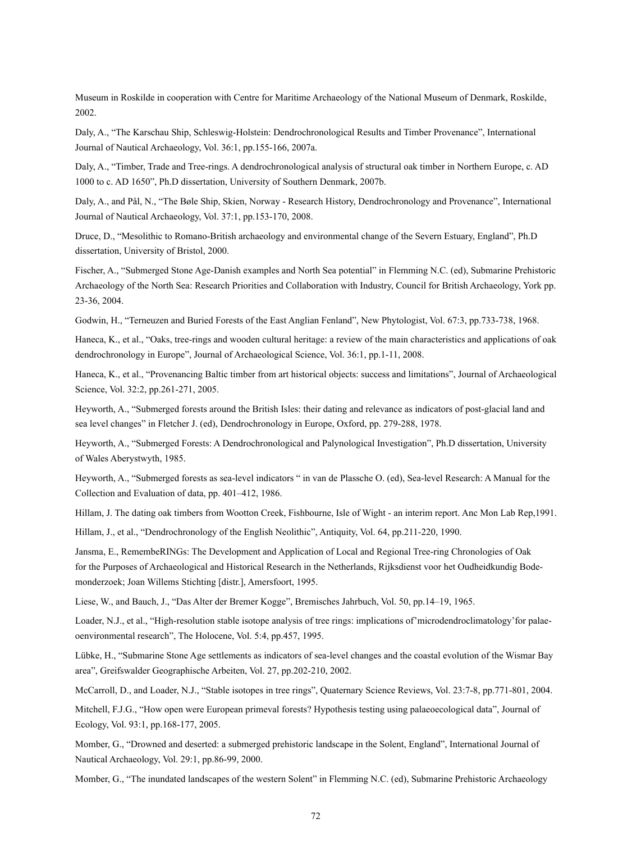Museum in Roskilde in cooperation with Centre for Maritime Archaeology of the National Museum of Denmark, Roskilde, 2002.

Daly, A., "The Karschau Ship, Schleswig-Holstein: Dendrochronological Results and Timber Provenance", International Journal of Nautical Archaeology, Vol. 36:1, pp.155-166, 2007a.

Daly, A., "Timber, Trade and Tree-rings. A dendrochronological analysis of structural oak timber in Northern Europe, c. AD 1000 to c. AD 1650", Ph.D dissertation, University of Southern Denmark, 2007b.

Daly, A., and Pål, N., "The Bøle Ship, Skien, Norway - Research History, Dendrochronology and Provenance", International Journal of Nautical Archaeology, Vol. 37:1, pp.153-170, 2008.

Druce, D., "Mesolithic to Romano-British archaeology and environmental change of the Severn Estuary, England", Ph.D dissertation, University of Bristol, 2000.

Fischer, A., "Submerged Stone Age-Danish examples and North Sea potential" in Flemming N.C. (ed), Submarine Prehistoric Archaeology of the North Sea: Research Priorities and Collaboration with Industry, Council for British Archaeology, York pp. 23-36, 2004.

Godwin, H., "Terneuzen and Buried Forests of the East Anglian Fenland", New Phytologist, Vol. 67:3, pp.733-738, 1968.

Haneca, K., et al., "Oaks, tree-rings and wooden cultural heritage: a review of the main characteristics and applications of oak dendrochronology in Europe", Journal of Archaeological Science, Vol. 36:1, pp.1-11, 2008.

Haneca, K., et al., "Provenancing Baltic timber from art historical objects: success and limitations", Journal of Archaeological Science, Vol. 32:2, pp.261-271, 2005.

Heyworth, A., "Submerged forests around the British Isles: their dating and relevance as indicators of post-glacial land and sea level changes" in Fletcher J. (ed), Dendrochronology in Europe, Oxford, pp. 279-288, 1978.

Heyworth, A., "Submerged Forests: A Dendrochronological and Palynological Investigation", Ph.D dissertation, University of Wales Aberystwyth, 1985.

Heyworth, A., "Submerged forests as sea-level indicators " in van de Plassche O. (ed), Sea-level Research: A Manual for the Collection and Evaluation of data, pp. 401–412, 1986.

Hillam, J. The dating oak timbers from Wootton Creek, Fishbourne, Isle of Wight - an interim report. Anc Mon Lab Rep,1991.

Hillam, J., et al., "Dendrochronology of the English Neolithic", Antiquity, Vol. 64, pp.211-220, 1990.

Jansma, E., RemembeRINGs: The Development and Application of Local and Regional Tree-ring Chronologies of Oak for the Purposes of Archaeological and Historical Research in the Netherlands, Rijksdienst voor het Oudheidkundig Bodemonderzoek; Joan Willems Stichting [distr.], Amersfoort, 1995.

Liese, W., and Bauch, J., "Das Alter der Bremer Kogge", Bremisches Jahrbuch, Vol. 50, pp.14–19, 1965.

Loader, N.J., et al., "High-resolution stable isotope analysis of tree rings: implications of'microdendroclimatology'for palaeoenvironmental research", The Holocene, Vol. 5:4, pp.457, 1995.

Lübke, H., "Submarine Stone Age settlements as indicators of sea-level changes and the coastal evolution of the Wismar Bay area", Greifswalder Geographische Arbeiten, Vol. 27, pp.202-210, 2002.

McCarroll, D., and Loader, N.J., "Stable isotopes in tree rings", Quaternary Science Reviews, Vol. 23:7-8, pp.771-801, 2004.

Mitchell, F.J.G., "How open were European primeval forests? Hypothesis testing using palaeoecological data", Journal of Ecology, Vol. 93:1, pp.168-177, 2005.

Momber, G., "Drowned and deserted: a submerged prehistoric landscape in the Solent, England", International Journal of Nautical Archaeology, Vol. 29:1, pp.86-99, 2000.

Momber, G., "The inundated landscapes of the western Solent" in Flemming N.C. (ed), Submarine Prehistoric Archaeology